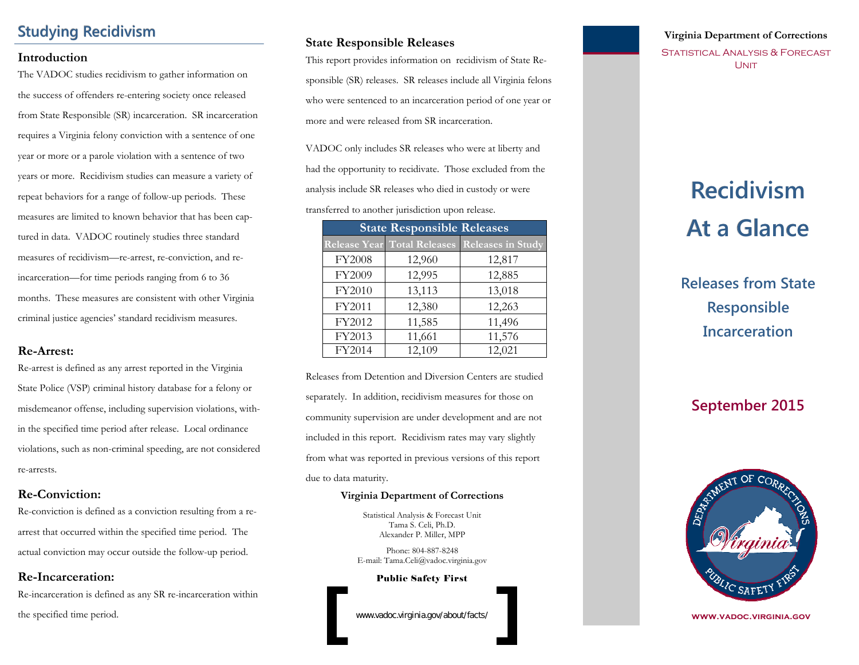# **Studying Recidivism**

#### **Introduction**

The VADOC studies recidivism to gather information on the success of offenders re-entering society once released from State Responsible (SR) incarceration. SR incarceration requires a Virginia felony conviction with a sentence of one year or more or a parole violation with a sentence of two years or more. Recidivism studies can measure a variety of repeat behaviors for a range of follow-up periods. These measures are limited to known behavior that has been captured in data. VADOC routinely studies three standard measures of recidivism—re-arrest, re-conviction, and reincarceration—for time periods ranging from 6 to 36 months. These measures are consistent with other Virginia criminal justice agencies' standard recidivism measures.

#### **Re-Arrest:**

Re-arrest is defined as any arrest reported in the Virginia State Police (VSP) criminal history database for a felony or misdemeanor offense, including supervision violations, within the specified time period after release. Local ordinance violations, such as non-criminal speeding, are not considered re-arrests.

#### **Re-Conviction:**

Re-conviction is defined as a conviction resulting from a rearrest that occurred within the specified time period. The actual conviction may occur outside the follow-up period.

#### **Re-Incarceration:**

Re-incarceration is defined as any SR re-incarceration within the specified time period.

#### **State Responsible Releases**

This report provides information on recidivism of State Responsible (SR) releases. SR releases include all Virginia felons who were sentenced to an incarceration period of one year or more and were released from SR incarceration.

VADOC only includes SR releases who were at liberty and had the opportunity to recidivate. Those excluded from the analysis include SR releases who died in custody or were transferred to another jurisdiction upon release.

| <b>State Responsible Releases</b> |        |                                               |  |  |
|-----------------------------------|--------|-----------------------------------------------|--|--|
|                                   |        | Release Year Total Releases Releases in Study |  |  |
| FY2008                            | 12,960 | 12,817                                        |  |  |
| FY2009                            | 12,995 | 12,885                                        |  |  |
| FY2010                            | 13,113 | 13,018                                        |  |  |
| FY2011                            | 12,380 | 12,263                                        |  |  |
| FY2012                            | 11,585 | 11,496                                        |  |  |
| FY2013                            | 11,661 | 11,576                                        |  |  |
| FY2014                            | 12,109 | 12,021                                        |  |  |

Releases from Detention and Diversion Centers are studied separately. In addition, recidivism measures for those on community supervision are under development and are not included in this report. Recidivism rates may vary slightly from what was reported in previous versions of this report due to data maturity.

#### **Virginia Department of Corrections**

Statistical Analysis & Forecast Unit Tama S. Celi, Ph.D. Alexander P. Miller, MPP

Phone: 804-887-8248 E-mail: Tama.Celi@vadoc.virginia.gov

Public Safety First

www.vadoc.virginia.gov/about/facts/

### **Virginia Department of Corrections**

STATISTICAL ANALYSIS & FORECAST **UNIT** 

# **Recidivism Recidivism At a Glance At a Glance**

**Releases from State Responsible Incarceration**

# **September 2015**



**www.vadoc.virginia.gov**